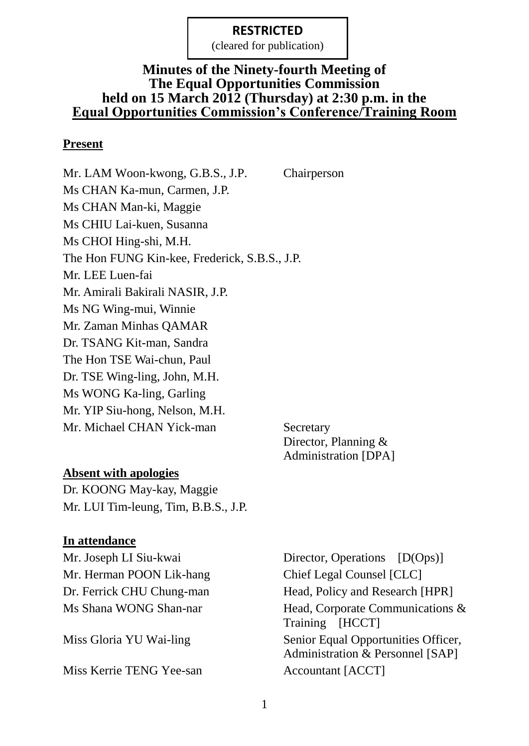(cleared for publication)

#### **Minutes of the Ninety-fourth Meeting of The Equal Opportunities Commission held on 15 March 2012 (Thursday) at 2:30 p.m. in the Equal Opportunities Commission's Conference/Training Room**

#### **Present**

Mr. LAM Woon-kwong, G.B.S., J.P. Chairperson Ms CHAN Ka-mun, Carmen, J.P. Ms CHAN Man-ki, Maggie Ms CHIU Lai-kuen, Susanna Ms CHOI Hing-shi, M.H. The Hon FUNG Kin-kee, Frederick, S.B.S., J.P. Mr. LEE Luen-fai Mr. Amirali Bakirali NASIR, J.P. Ms NG Wing-mui, Winnie Mr. Zaman Minhas QAMAR Dr. TSANG Kit-man, Sandra The Hon TSE Wai-chun, Paul Dr. TSE Wing-ling, John, M.H. Ms WONG Ka-ling, Garling Mr. YIP Siu-hong, Nelson, M.H. Mr. Michael CHAN Yick-man Secretary

Director, Planning & Administration [DPA]

### **Absent with apologies**

Dr. KOONG May-kay, Maggie Mr. LUI Tim-leung, Tim, B.B.S., J.P.

#### **In attendance**

Mr. Herman POON Lik-hang Chief Legal Counsel [CLC]

Miss Kerrie TENG Yee-san Accountant [ACCT]

Mr. Joseph LI Siu-kwai Director, Operations [D(Ops)] Dr. Ferrick CHU Chung-man Head, Policy and Research [HPR] Ms Shana WONG Shan-nar Head, Corporate Communications & Training [HCCT] Miss Gloria YU Wai-ling Senior Equal Opportunities Officer, Administration & Personnel [SAP]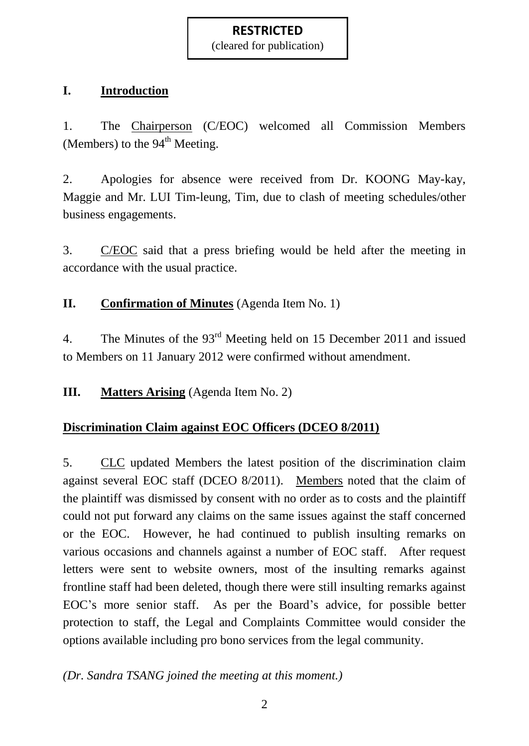(cleared for publication)

# **I. Introduction**

1. The Chairperson (C/EOC) welcomed all Commission Members (Members) to the  $94<sup>th</sup>$  Meeting.

2. Apologies for absence were received from Dr. KOONG May-kay, Maggie and Mr. LUI Tim-leung, Tim, due to clash of meeting schedules/other business engagements.

3. C/EOC said that a press briefing would be held after the meeting in accordance with the usual practice.

# **II. Confirmation of Minutes** (Agenda Item No. 1)

4. The Minutes of the 93rd Meeting held on 15 December 2011 and issued to Members on 11 January 2012 were confirmed without amendment.

**III. Matters Arising** (Agenda Item No. 2)

# **Discrimination Claim against EOC Officers (DCEO 8/2011)**

5. CLC updated Members the latest position of the discrimination claim against several EOC staff (DCEO 8/2011). Members noted that the claim of the plaintiff was dismissed by consent with no order as to costs and the plaintiff could not put forward any claims on the same issues against the staff concerned or the EOC. However, he had continued to publish insulting remarks on various occasions and channels against a number of EOC staff. After request letters were sent to website owners, most of the insulting remarks against frontline staff had been deleted, though there were still insulting remarks against EOC's more senior staff. As per the Board's advice, for possible better protection to staff, the Legal and Complaints Committee would consider the options available including pro bono services from the legal community.

# *(Dr. Sandra TSANG joined the meeting at this moment.)*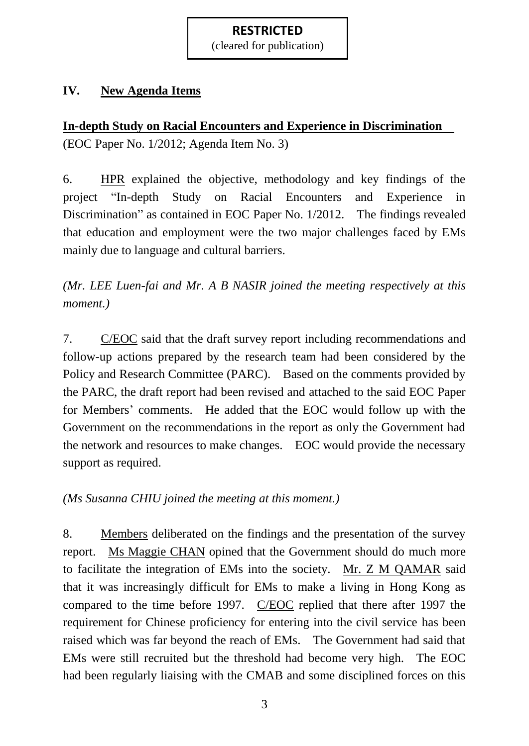(cleared for publication)

# **IV. New Agenda Items**

# **In-depth Study on Racial Encounters and Experience in Discrimination**

(EOC Paper No. 1/2012; Agenda Item No. 3)

6. HPR explained the objective, methodology and key findings of the project "In-depth Study on Racial Encounters and Experience in Discrimination" as contained in EOC Paper No. 1/2012. The findings revealed that education and employment were the two major challenges faced by EMs mainly due to language and cultural barriers.

*(Mr. LEE Luen-fai and Mr. A B NASIR joined the meeting respectively at this moment.)*

7. C/EOC said that the draft survey report including recommendations and follow-up actions prepared by the research team had been considered by the Policy and Research Committee (PARC). Based on the comments provided by the PARC, the draft report had been revised and attached to the said EOC Paper for Members' comments. He added that the EOC would follow up with the Government on the recommendations in the report as only the Government had the network and resources to make changes. EOC would provide the necessary support as required.

*(Ms Susanna CHIU joined the meeting at this moment.)*

8. Members deliberated on the findings and the presentation of the survey report. Ms Maggie CHAN opined that the Government should do much more to facilitate the integration of EMs into the society. Mr. Z M QAMAR said that it was increasingly difficult for EMs to make a living in Hong Kong as compared to the time before 1997. C/EOC replied that there after 1997 the requirement for Chinese proficiency for entering into the civil service has been raised which was far beyond the reach of EMs. The Government had said that EMs were still recruited but the threshold had become very high. The EOC had been regularly liaising with the CMAB and some disciplined forces on this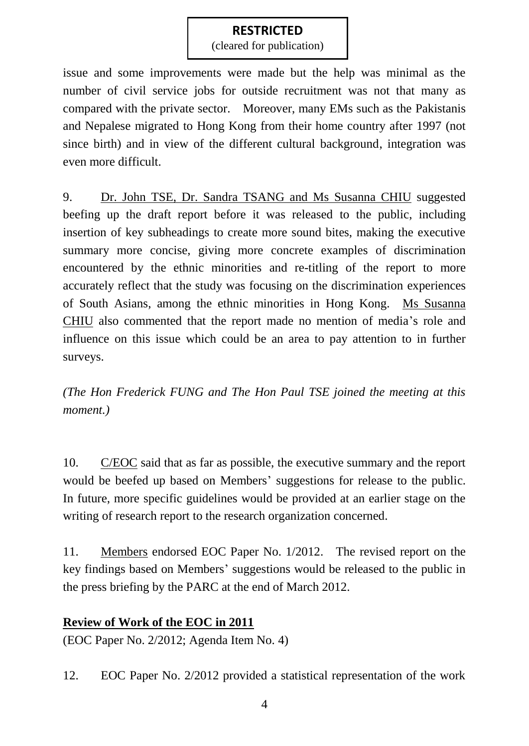(cleared for publication)

issue and some improvements were made but the help was minimal as the number of civil service jobs for outside recruitment was not that many as compared with the private sector. Moreover, many EMs such as the Pakistanis and Nepalese migrated to Hong Kong from their home country after 1997 (not since birth) and in view of the different cultural background, integration was even more difficult.

9. Dr. John TSE, Dr. Sandra TSANG and Ms Susanna CHIU suggested beefing up the draft report before it was released to the public, including insertion of key subheadings to create more sound bites, making the executive summary more concise, giving more concrete examples of discrimination encountered by the ethnic minorities and re-titling of the report to more accurately reflect that the study was focusing on the discrimination experiences of South Asians, among the ethnic minorities in Hong Kong. Ms Susanna CHIU also commented that the report made no mention of media's role and influence on this issue which could be an area to pay attention to in further surveys.

*(The Hon Frederick FUNG and The Hon Paul TSE joined the meeting at this moment.)*

10. C/EOC said that as far as possible, the executive summary and the report would be beefed up based on Members' suggestions for release to the public. In future, more specific guidelines would be provided at an earlier stage on the writing of research report to the research organization concerned.

11. Members endorsed EOC Paper No. 1/2012. The revised report on the key findings based on Members' suggestions would be released to the public in the press briefing by the PARC at the end of March 2012.

# **Review of Work of the EOC in 2011**

(EOC Paper No. 2/2012; Agenda Item No. 4)

12. EOC Paper No. 2/2012 provided a statistical representation of the work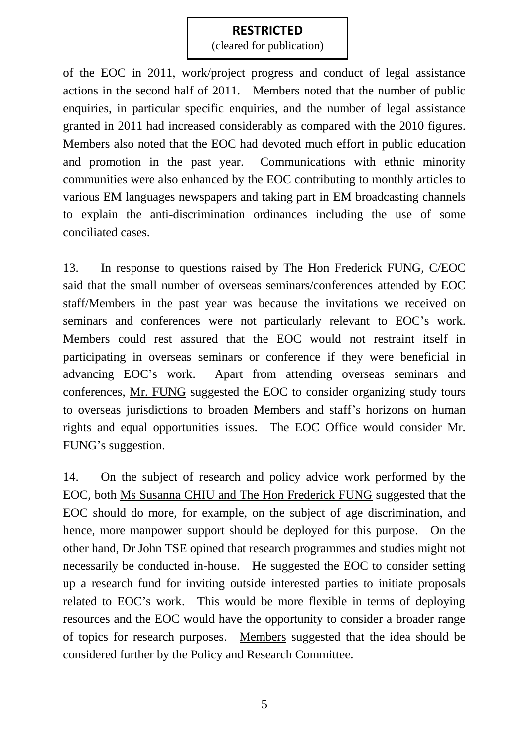(cleared for publication)

of the EOC in 2011, work/project progress and conduct of legal assistance actions in the second half of 2011. Members noted that the number of public enquiries, in particular specific enquiries, and the number of legal assistance granted in 2011 had increased considerably as compared with the 2010 figures. Members also noted that the EOC had devoted much effort in public education and promotion in the past year. Communications with ethnic minority communities were also enhanced by the EOC contributing to monthly articles to various EM languages newspapers and taking part in EM broadcasting channels to explain the anti-discrimination ordinances including the use of some conciliated cases.

13. In response to questions raised by The Hon Frederick FUNG, C/EOC said that the small number of overseas seminars/conferences attended by EOC staff/Members in the past year was because the invitations we received on seminars and conferences were not particularly relevant to EOC's work. Members could rest assured that the EOC would not restraint itself in participating in overseas seminars or conference if they were beneficial in advancing EOC's work. Apart from attending overseas seminars and conferences, Mr. FUNG suggested the EOC to consider organizing study tours to overseas jurisdictions to broaden Members and staff's horizons on human rights and equal opportunities issues. The EOC Office would consider Mr. FUNG's suggestion.

14. On the subject of research and policy advice work performed by the EOC, both Ms Susanna CHIU and The Hon Frederick FUNG suggested that the EOC should do more, for example, on the subject of age discrimination, and hence, more manpower support should be deployed for this purpose. On the other hand, Dr John TSE opined that research programmes and studies might not necessarily be conducted in-house. He suggested the EOC to consider setting up a research fund for inviting outside interested parties to initiate proposals related to EOC's work. This would be more flexible in terms of deploying resources and the EOC would have the opportunity to consider a broader range of topics for research purposes. Members suggested that the idea should be considered further by the Policy and Research Committee.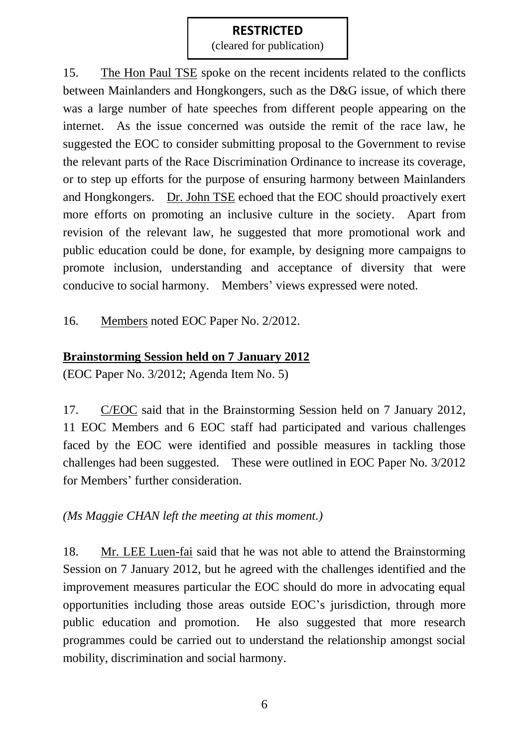(cleared for publication)

15. The Hon Paul TSE spoke on the recent incidents related to the conflicts between Mainlanders and Hongkongers, such as the D&G issue, of which there was a large number of hate speeches from different people appearing on the internet. As the issue concerned was outside the remit of the race law, he suggested the EOC to consider submitting proposal to the Government to revise the relevant parts of the Race Discrimination Ordinance to increase its coverage, or to step up efforts for the purpose of ensuring harmony between Mainlanders and Hongkongers. Dr. John TSE echoed that the EOC should proactively exert more efforts on promoting an inclusive culture in the society. Apart from revision of the relevant law, he suggested that more promotional work and public education could be done, for example, by designing more campaigns to promote inclusion, understanding and acceptance of diversity that were conducive to social harmony. Members' views expressed were noted.

16. Members noted EOC Paper No. 2/2012.

# **Brainstorming Session held on 7 January 2012**

(EOC Paper No. 3/2012; Agenda Item No. 5)

17. C/EOC said that in the Brainstorming Session held on 7 January 2012, 11 EOC Members and 6 EOC staff had participated and various challenges faced by the EOC were identified and possible measures in tackling those challenges had been suggested. These were outlined in EOC Paper No. 3/2012 for Members' further consideration.

*(Ms Maggie CHAN left the meeting at this moment.)*

18. Mr. LEE Luen-fai said that he was not able to attend the Brainstorming Session on 7 January 2012, but he agreed with the challenges identified and the improvement measures particular the EOC should do more in advocating equal opportunities including those areas outside EOC's jurisdiction, through more public education and promotion. He also suggested that more research programmes could be carried out to understand the relationship amongst social mobility, discrimination and social harmony.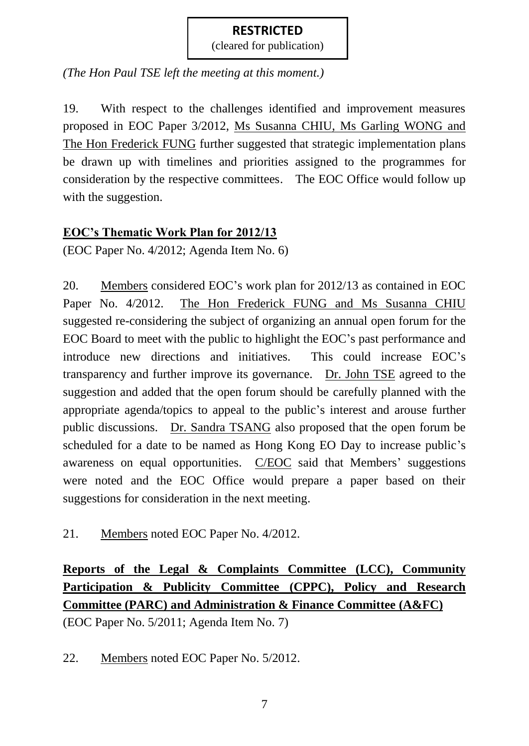(cleared for publication)

*(The Hon Paul TSE left the meeting at this moment.)*

19. With respect to the challenges identified and improvement measures proposed in EOC Paper 3/2012, Ms Susanna CHIU, Ms Garling WONG and The Hon Frederick FUNG further suggested that strategic implementation plans be drawn up with timelines and priorities assigned to the programmes for consideration by the respective committees. The EOC Office would follow up with the suggestion.

## **EOC's Thematic Work Plan for 2012/13**

(EOC Paper No. 4/2012; Agenda Item No. 6)

20. Members considered EOC's work plan for 2012/13 as contained in EOC Paper No. 4/2012. The Hon Frederick FUNG and Ms Susanna CHIU suggested re-considering the subject of organizing an annual open forum for the EOC Board to meet with the public to highlight the EOC's past performance and introduce new directions and initiatives. This could increase EOC's transparency and further improve its governance. Dr. John TSE agreed to the suggestion and added that the open forum should be carefully planned with the appropriate agenda/topics to appeal to the public's interest and arouse further public discussions. Dr. Sandra TSANG also proposed that the open forum be scheduled for a date to be named as Hong Kong EO Day to increase public's awareness on equal opportunities. C/EOC said that Members' suggestions were noted and the EOC Office would prepare a paper based on their suggestions for consideration in the next meeting.

21. Members noted EOC Paper No. 4/2012.

# **Reports of the Legal & Complaints Committee (LCC), Community Participation & Publicity Committee (CPPC), Policy and Research Committee (PARC) and Administration & Finance Committee (A&FC)** (EOC Paper No. 5/2011; Agenda Item No. 7)

22. Members noted EOC Paper No. 5/2012.